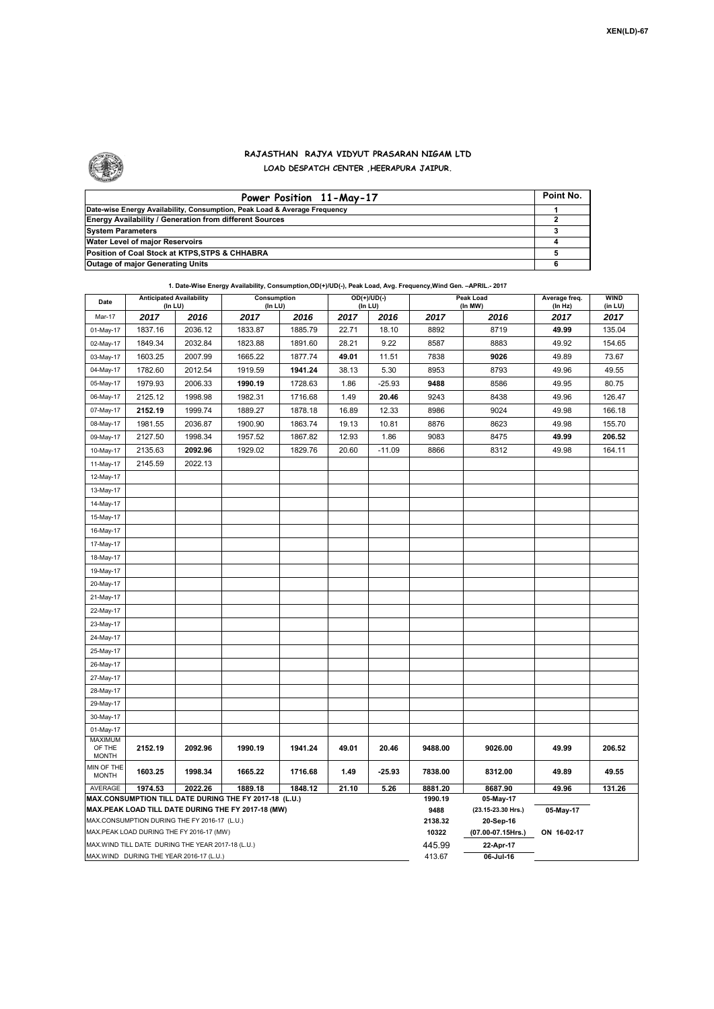

## **RAJASTHAN RAJYA VIDYUT PRASARAN NIGAM LTD**

**LOAD DESPATCH CENTER ,HEERAPURA JAIPUR.**

| Power Position 11-May-17                                                  | Point No. |
|---------------------------------------------------------------------------|-----------|
| Date-wise Energy Availability, Consumption, Peak Load & Average Frequency |           |
| <b>Energy Availability / Generation from different Sources</b>            |           |
| <b>System Parameters</b>                                                  |           |
| Water Level of major Reservoirs                                           |           |
| Position of Coal Stock at KTPS, STPS & CHHABRA                            |           |
| <b>Outage of major Generating Units</b>                                   |           |

| Date                                                                                               | <b>Anticipated Availability</b><br>(In LU) |         | Consumption<br>(In LU) |         |       | OD(+)/UD(-)<br>(In LU) |                 | Peak Load<br>(In MW)            | Average freq.<br>(In Hz) | <b>WIND</b><br>(in LU) |  |  |
|----------------------------------------------------------------------------------------------------|--------------------------------------------|---------|------------------------|---------|-------|------------------------|-----------------|---------------------------------|--------------------------|------------------------|--|--|
| Mar-17                                                                                             | 2017                                       | 2016    | 2017                   | 2016    | 2017  | 2016                   | 2017            | 2016                            | 2017                     | 2017                   |  |  |
| 01-May-17                                                                                          | 1837.16                                    | 2036.12 | 1833.87                | 1885.79 | 22.71 | 18.10                  | 8892            | 8719                            | 49.99                    | 135.04                 |  |  |
| 02-May-17                                                                                          | 1849.34                                    | 2032.84 | 1823.88                | 1891.60 | 28.21 | 9.22                   | 8587            | 8883                            | 49.92                    | 154.65                 |  |  |
| 03-May-17                                                                                          | 1603.25                                    | 2007.99 | 1665.22                | 1877.74 | 49.01 | 11.51                  | 7838            | 9026                            | 49.89                    | 73.67                  |  |  |
| 04-May-17                                                                                          | 1782.60                                    | 2012.54 | 1919.59                | 1941.24 | 38.13 | 5.30                   | 8953            | 8793                            | 49.96                    | 49.55                  |  |  |
| 05-May-17                                                                                          | 1979.93                                    | 2006.33 | 1990.19                | 1728.63 | 1.86  | $-25.93$               | 9488            | 8586                            | 49.95                    | 80.75                  |  |  |
| 06-May-17                                                                                          | 2125.12                                    | 1998.98 | 1982.31                | 1716.68 | 1.49  | 20.46                  | 9243            | 8438                            | 49.96                    | 126.47                 |  |  |
| 07-May-17                                                                                          | 2152.19                                    | 1999.74 | 1889.27                | 1878.18 | 16.89 | 12.33                  | 8986            | 9024                            | 49.98                    | 166.18                 |  |  |
| 08-May-17                                                                                          | 1981.55                                    | 2036.87 | 1900.90                | 1863.74 | 19.13 | 10.81                  | 8876            | 8623                            | 49.98                    | 155.70                 |  |  |
| 09-May-17                                                                                          | 2127.50                                    | 1998.34 | 1957.52                | 1867.82 | 12.93 | 1.86                   | 9083            | 8475                            | 49.99                    | 206.52                 |  |  |
| 10-May-17                                                                                          | 2135.63                                    | 2092.96 | 1929.02                | 1829.76 | 20.60 | $-11.09$               | 8866            | 8312                            | 49.98                    | 164.11                 |  |  |
| 11-May-17                                                                                          | 2145.59                                    | 2022.13 |                        |         |       |                        |                 |                                 |                          |                        |  |  |
| 12-May-17                                                                                          |                                            |         |                        |         |       |                        |                 |                                 |                          |                        |  |  |
| 13-May-17                                                                                          |                                            |         |                        |         |       |                        |                 |                                 |                          |                        |  |  |
| 14-May-17                                                                                          |                                            |         |                        |         |       |                        |                 |                                 |                          |                        |  |  |
| 15-May-17                                                                                          |                                            |         |                        |         |       |                        |                 |                                 |                          |                        |  |  |
| 16-May-17                                                                                          |                                            |         |                        |         |       |                        |                 |                                 |                          |                        |  |  |
| 17-May-17                                                                                          |                                            |         |                        |         |       |                        |                 |                                 |                          |                        |  |  |
| 18-May-17                                                                                          |                                            |         |                        |         |       |                        |                 |                                 |                          |                        |  |  |
| 19-May-17                                                                                          |                                            |         |                        |         |       |                        |                 |                                 |                          |                        |  |  |
| 20-May-17                                                                                          |                                            |         |                        |         |       |                        |                 |                                 |                          |                        |  |  |
| 21-May-17                                                                                          |                                            |         |                        |         |       |                        |                 |                                 |                          |                        |  |  |
| 22-May-17                                                                                          |                                            |         |                        |         |       |                        |                 |                                 |                          |                        |  |  |
| 23-May-17                                                                                          |                                            |         |                        |         |       |                        |                 |                                 |                          |                        |  |  |
| 24-May-17                                                                                          |                                            |         |                        |         |       |                        |                 |                                 |                          |                        |  |  |
| 25-May-17                                                                                          |                                            |         |                        |         |       |                        |                 |                                 |                          |                        |  |  |
| 26-May-17                                                                                          |                                            |         |                        |         |       |                        |                 |                                 |                          |                        |  |  |
| 27-May-17                                                                                          |                                            |         |                        |         |       |                        |                 |                                 |                          |                        |  |  |
| 28-May-17                                                                                          |                                            |         |                        |         |       |                        |                 |                                 |                          |                        |  |  |
| 29-May-17                                                                                          |                                            |         |                        |         |       |                        |                 |                                 |                          |                        |  |  |
| 30-May-17                                                                                          |                                            |         |                        |         |       |                        |                 |                                 |                          |                        |  |  |
| 01-May-17                                                                                          |                                            |         |                        |         |       |                        |                 |                                 |                          |                        |  |  |
| <b>MAXIMUM</b><br>OF THE                                                                           | 2152.19                                    | 2092.96 | 1990.19                | 1941.24 | 49.01 | 20.46                  | 9488.00         | 9026.00                         | 49.99                    | 206.52                 |  |  |
| <b>MONTH</b>                                                                                       |                                            |         |                        |         |       |                        |                 |                                 |                          |                        |  |  |
| MIN OF THE<br><b>MONTH</b>                                                                         | 1603.25                                    | 1998.34 | 1665.22                | 1716.68 | 1.49  | $-25.93$               | 7838.00         | 8312.00                         | 49.89                    | 49.55                  |  |  |
| <b>AVERAGE</b>                                                                                     | 1974.53                                    | 2022.26 | 1889.18                | 1848.12 | 21.10 | 5.26                   | 8881.20         | 8687.90                         | 49.96                    | 131.26                 |  |  |
| MAX.CONSUMPTION TILL DATE DURING THE FY 2017-18 (L.U.)                                             |                                            |         |                        |         |       |                        | 1990.19<br>9488 | 05-May-17<br>(23.15-23.30 Hrs.) | 05-May-17                |                        |  |  |
| MAX.PEAK LOAD TILL DATE DURING THE FY 2017-18 (MW)<br>MAX.CONSUMPTION DURING THE FY 2016-17 (L.U.) |                                            |         |                        |         |       |                        | 2138.32         | 20-Sep-16                       |                          |                        |  |  |
| MAX.PEAK LOAD DURING THE FY 2016-17 (MW)                                                           |                                            |         |                        |         |       |                        | 10322           | (07.00-07.15Hrs.)               | ON 16-02-17              |                        |  |  |
| MAX.WIND TILL DATE DURING THE YEAR 2017-18 (L.U.)                                                  |                                            |         |                        |         |       |                        | 445.99          | 22-Apr-17                       |                          |                        |  |  |
| MAX.WIND DURING THE YEAR 2016-17 (L.U.)                                                            |                                            |         |                        |         |       |                        |                 | 06-Jul-16                       |                          |                        |  |  |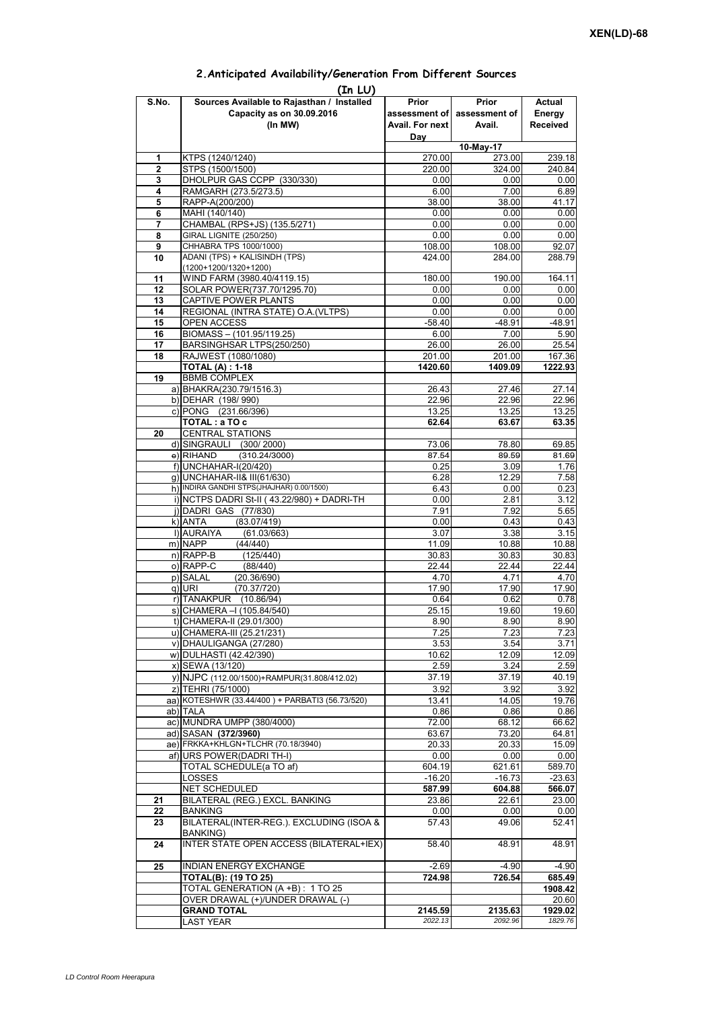| (In LU)        |                                                     |                 |                             |          |  |  |  |  |  |
|----------------|-----------------------------------------------------|-----------------|-----------------------------|----------|--|--|--|--|--|
| S.No.          | Sources Available to Rajasthan / Installed          | Prior           | Prior                       | Actual   |  |  |  |  |  |
|                | Capacity as on 30.09.2016                           |                 | assessment of assessment of | Energy   |  |  |  |  |  |
|                | (In MW)                                             | Avail. For next | Avail.                      | Received |  |  |  |  |  |
|                |                                                     | Day             |                             |          |  |  |  |  |  |
|                |                                                     |                 | 10-May-17                   |          |  |  |  |  |  |
| 1              | KTPS (1240/1240)                                    | 270.00          | 273.00                      | 239.18   |  |  |  |  |  |
| $\mathbf{2}$   | STPS (1500/1500)                                    | 220.00          | 324.00                      | 240.84   |  |  |  |  |  |
| 3              | DHOLPUR GAS CCPP (330/330)                          | 0.00            | 0.00                        | 0.00     |  |  |  |  |  |
| 4              | RAMGARH (273.5/273.5)                               | 6.00            | 7.00                        | 6.89     |  |  |  |  |  |
| 5              | RAPP-A(200/200)                                     | 38.00           | 38.00                       | 41.17    |  |  |  |  |  |
| 6              | MAHI (140/140)                                      | 0.00            | 0.00                        | 0.00     |  |  |  |  |  |
| $\overline{7}$ | CHAMBAL (RPS+JS) (135.5/271)                        | 0.00            | 0.00                        | 0.00     |  |  |  |  |  |
| 8              | GIRAL LIGNITE (250/250)                             | 0.00            | 0.00                        | 0.00     |  |  |  |  |  |
| 9              | CHHABRA TPS 1000/1000)                              | 108.00          | 108.00                      | 92.07    |  |  |  |  |  |
| 10             | ADANI (TPS) + KALISINDH (TPS)                       | 424.00          | 284.00                      | 288.79   |  |  |  |  |  |
|                | (1200+1200/1320+1200)                               |                 |                             |          |  |  |  |  |  |
| 11             | WIND FARM (3980.40/4119.15)                         | 180.00          | 190.00                      | 164.11   |  |  |  |  |  |
| 12             | SOLAR POWER(737.70/1295.70)                         | 0.00            | 0.00                        | 0.00     |  |  |  |  |  |
| 13             | CAPTIVE POWER PLANTS                                | 0.00            | 0.00                        | 0.00     |  |  |  |  |  |
| 14             | REGIONAL (INTRA STATE) O.A. (VLTPS)                 | 0.00            | 0.00                        | 0.00     |  |  |  |  |  |
| 15             | <b>OPEN ACCESS</b>                                  | $-58.40$        | $-48.91$                    | $-48.91$ |  |  |  |  |  |
| 16             | BIOMASS - (101.95/119.25)                           | 6.00            | 7.00                        | 5.90     |  |  |  |  |  |
| 17             | BARSINGHSAR LTPS(250/250)                           | 26.00           | 26.00                       | 25.54    |  |  |  |  |  |
| 18             | RAJWEST (1080/1080)                                 |                 |                             | 167.36   |  |  |  |  |  |
|                |                                                     | 201.00          | 201.00                      |          |  |  |  |  |  |
|                | <b>TOTAL (A): 1-18</b>                              | 1420.60         | 1409.09                     | 1222.93  |  |  |  |  |  |
| 19             | <b>BBMB COMPLEX</b>                                 |                 |                             |          |  |  |  |  |  |
|                | a) BHAKRA(230.79/1516.3)                            | 26.43           | 27.46                       | 27.14    |  |  |  |  |  |
|                | b) DEHAR (198/990)                                  | 22.96           | 22.96                       | 22.96    |  |  |  |  |  |
|                | c) PONG (231.66/396)                                | 13.25           | 13.25                       | 13.25    |  |  |  |  |  |
|                | TOTAL: a TO c                                       | 62.64           | 63.67                       | 63.35    |  |  |  |  |  |
| 20             | <b>CENTRAL STATIONS</b>                             |                 |                             |          |  |  |  |  |  |
|                | d) SINGRAULI (300/2000)                             | 73.06           | 78.80                       | 69.85    |  |  |  |  |  |
|                | e) RIHAND<br>(310.24/3000)                          | 87.54           | 89.59                       | 81.69    |  |  |  |  |  |
|                | f) UNCHAHAR-I(20/420)                               | 0.25            | 3.09                        | 1.76     |  |  |  |  |  |
|                | g) UNCHAHAR-II& III(61/630)                         | 6.28            | 12.29                       | 7.58     |  |  |  |  |  |
|                | h) INDIRA GANDHI STPS(JHAJHAR) 0.00/1500)           | 6.43            | 0.00                        | 0.23     |  |  |  |  |  |
|                | i) NCTPS DADRI St-II (43.22/980) + DADRI-TH         | 0.00            | 2.81                        | 3.12     |  |  |  |  |  |
|                | j) DADRI GAS (77/830)                               | 7.91            | 7.92                        | 5.65     |  |  |  |  |  |
|                | k) ANTA<br>(83.07/419)                              | 0.00            | 0.43                        | 0.43     |  |  |  |  |  |
|                | I) AURAIYA<br>(61.03/663)                           | 3.07            | 3.38                        | 3.15     |  |  |  |  |  |
|                | m) NAPP<br>(44/440)                                 | 11.09           | 10.88                       | 10.88    |  |  |  |  |  |
|                | $n)$ RAPP-B<br>(125/440)                            | 30.83           | 30.83                       | 30.83    |  |  |  |  |  |
|                | o) RAPP-C<br>(88/440)                               | 22.44           | 22.44                       | 22.44    |  |  |  |  |  |
|                | (20.36/690)<br>p) SALAL                             | 4.70            | 4.71                        | 4.70     |  |  |  |  |  |
|                | q) URI<br>(70.37/720)                               | 17.90           | 17.90                       | 17.90    |  |  |  |  |  |
|                | r) TANAKPUR<br>(10.86/94)                           | 0.64            | 0.62                        | 0.78     |  |  |  |  |  |
|                | s) CHAMERA - (105.84/540)                           | 25.15           | 19.60                       | 19.60    |  |  |  |  |  |
|                | t) CHAMERA-II (29.01/300)                           | 8.90            | 8.90                        | 8.90     |  |  |  |  |  |
|                | u) CHAMERA-III (25.21/231)                          | 7.25            | 7.23                        | 7.23     |  |  |  |  |  |
|                | v) DHAULIGANGA (27/280)                             | 3.53            | 3.54                        | 3.71     |  |  |  |  |  |
|                | w) DULHASTI (42.42/390)                             | 10.62           | 12.09                       | 12.09    |  |  |  |  |  |
|                | x) SEWA (13/120)                                    | 2.59            | 3.24                        | 2.59     |  |  |  |  |  |
|                | y) NJPC (112.00/1500)+RAMPUR(31.808/412.02)         | 37.19           | 37.19                       | 40.19    |  |  |  |  |  |
|                | z) TEHRI (75/1000)                                  | 3.92            | 3.92                        | 3.92     |  |  |  |  |  |
|                | aa) KOTESHWR (33.44/400) + PARBATI3 (56.73/520)     | 13.41           | 14.05                       | 19.76    |  |  |  |  |  |
|                | ab) TALA                                            | 0.86            | 0.86                        | 0.86     |  |  |  |  |  |
|                | ac) MUNDRA UMPP (380/4000)                          | 72.00           | 68.12                       | 66.62    |  |  |  |  |  |
|                | ad) SASAN (372/3960)                                | 63.67           | 73.20                       | 64.81    |  |  |  |  |  |
|                | ae) FRKKA+KHLGN+TLCHR (70.18/3940)                  | 20.33           | 20.33                       | 15.09    |  |  |  |  |  |
|                | af) URS POWER(DADRI TH-I)                           | 0.00            | 0.00                        | 0.00     |  |  |  |  |  |
|                | TOTAL SCHEDULE(a TO af)                             | 604.19          | 621.61                      | 589.70   |  |  |  |  |  |
|                |                                                     |                 |                             |          |  |  |  |  |  |
|                | LOSSES<br><b>NET SCHEDULED</b>                      | $-16.20$        | $-16.73$                    | $-23.63$ |  |  |  |  |  |
|                |                                                     | 587.99          | 604.88                      | 566.07   |  |  |  |  |  |
| 21             | BILATERAL (REG.) EXCL. BANKING                      | 23.86           | 22.61                       | 23.00    |  |  |  |  |  |
| 22             | <b>BANKING</b>                                      | 0.00            | 0.00                        | 0.00     |  |  |  |  |  |
| 23             | BILATERAL(INTER-REG.). EXCLUDING (ISOA &            | 57.43           | 49.06                       | 52.41    |  |  |  |  |  |
| 24             | BANKING)<br>INTER STATE OPEN ACCESS (BILATERAL+IEX) | 58.40           | 48.91                       | 48.91    |  |  |  |  |  |
|                |                                                     |                 |                             |          |  |  |  |  |  |
| 25             | <b>INDIAN ENERGY EXCHANGE</b>                       | $-2.69$         | $-4.90$                     | $-4.90$  |  |  |  |  |  |
|                | <b>TOTAL(B): (19 TO 25)</b>                         | 724.98          | 726.54                      | 685.49   |  |  |  |  |  |
|                | TOTAL GENERATION (A +B) : 1 TO 25                   |                 |                             | 1908.42  |  |  |  |  |  |
|                | OVER DRAWAL (+)/UNDER DRAWAL (-)                    |                 |                             | 20.60    |  |  |  |  |  |
|                | <b>GRAND TOTAL</b>                                  | 2145.59         | 2135.63                     | 1929.02  |  |  |  |  |  |
|                | <b>LAST YEAR</b>                                    | 2022.13         | 2092.96                     | 1829.76  |  |  |  |  |  |
|                |                                                     |                 |                             |          |  |  |  |  |  |

## **2.Anticipated Availability/Generation From Different Sources**